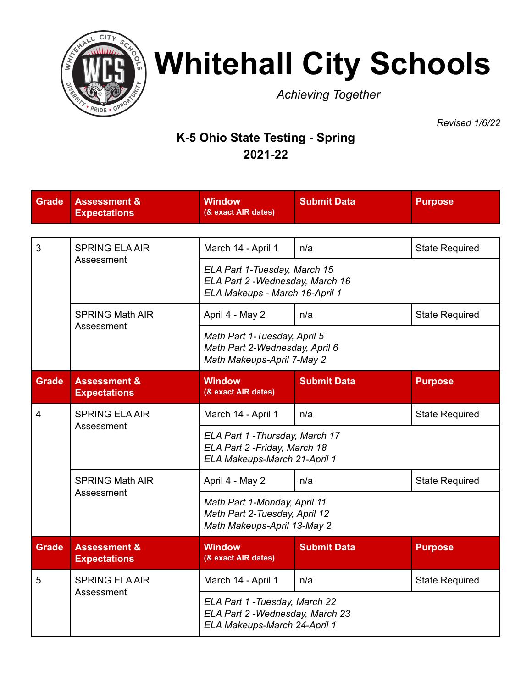

## **Whitehall City Schools**

*Achieving Together*

*Revised 1/6/22*

## **K-5 Ohio State Testing - Spring 2021-22**

| <b>Grade</b> | <b>Assessment &amp;</b><br><b>Expectations</b> | <b>Window</b><br>(& exact AIR dates)                                                               | <b>Submit Data</b> | <b>Purpose</b>        |  |  |  |
|--------------|------------------------------------------------|----------------------------------------------------------------------------------------------------|--------------------|-----------------------|--|--|--|
|              |                                                |                                                                                                    |                    |                       |  |  |  |
| 3            | <b>SPRING ELA AIR</b><br>Assessment            | March 14 - April 1                                                                                 | n/a                | <b>State Required</b> |  |  |  |
|              |                                                | ELA Part 1-Tuesday, March 15<br>ELA Part 2 - Wednesday, March 16<br>ELA Makeups - March 16-April 1 |                    |                       |  |  |  |
|              | <b>SPRING Math AIR</b><br>Assessment           | April 4 - May 2                                                                                    | n/a                | <b>State Required</b> |  |  |  |
|              |                                                | Math Part 1-Tuesday, April 5<br>Math Part 2-Wednesday, April 6<br>Math Makeups-April 7-May 2       |                    |                       |  |  |  |
| <b>Grade</b> | <b>Assessment &amp;</b><br><b>Expectations</b> | <b>Window</b><br>(& exact AIR dates)                                                               | <b>Submit Data</b> | <b>Purpose</b>        |  |  |  |
| 4            | <b>SPRING ELA AIR</b><br>Assessment            | March 14 - April 1                                                                                 | n/a                | <b>State Required</b> |  |  |  |
|              |                                                | ELA Part 1 - Thursday, March 17<br>ELA Part 2 - Friday, March 18<br>ELA Makeups-March 21-April 1   |                    |                       |  |  |  |
|              | <b>SPRING Math AIR</b><br>Assessment           | April 4 - May 2                                                                                    | n/a                | <b>State Required</b> |  |  |  |
|              |                                                | Math Part 1-Monday, April 11<br>Math Part 2-Tuesday, April 12<br>Math Makeups-April 13-May 2       |                    |                       |  |  |  |
| <b>Grade</b> | <b>Assessment &amp;</b><br><b>Expectations</b> | <b>Window</b><br>(& exact AIR dates)                                                               | <b>Submit Data</b> | <b>Purpose</b>        |  |  |  |
| 5            | <b>SPRING ELA AIR</b><br>Assessment            | March 14 - April 1                                                                                 | n/a                | <b>State Required</b> |  |  |  |
|              |                                                | ELA Part 1 - Tuesday, March 22<br>ELA Part 2 - Wednesday, March 23<br>ELA Makeups-March 24-April 1 |                    |                       |  |  |  |